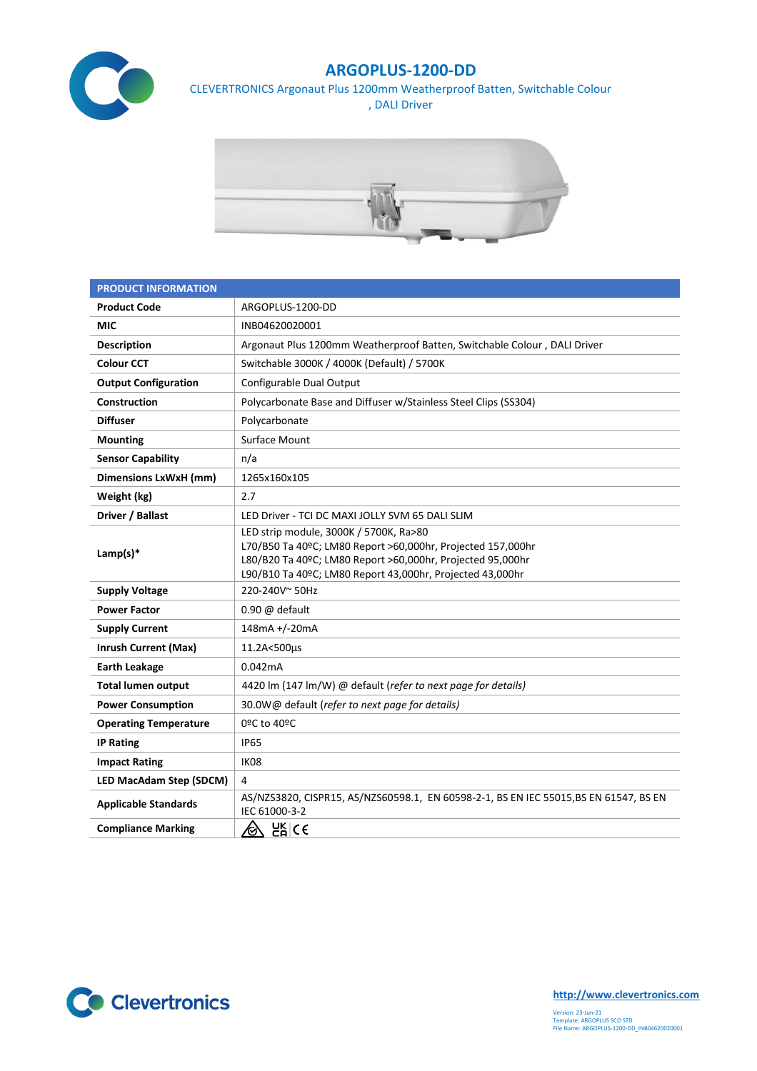

## **ARGOPLUS-1200-DD**

CLEVERTRONICS Argonaut Plus 1200mm Weatherproof Batten, Switchable Colour , DALI Driver



| <b>PRODUCT INFORMATION</b>     |                                                                                                                                                                                                                                  |  |  |
|--------------------------------|----------------------------------------------------------------------------------------------------------------------------------------------------------------------------------------------------------------------------------|--|--|
| <b>Product Code</b>            | ARGOPLUS-1200-DD                                                                                                                                                                                                                 |  |  |
| <b>MIC</b>                     | INB04620020001                                                                                                                                                                                                                   |  |  |
| <b>Description</b>             | Argonaut Plus 1200mm Weatherproof Batten, Switchable Colour, DALI Driver                                                                                                                                                         |  |  |
| <b>Colour CCT</b>              | Switchable 3000K / 4000K (Default) / 5700K                                                                                                                                                                                       |  |  |
| <b>Output Configuration</b>    | Configurable Dual Output                                                                                                                                                                                                         |  |  |
| Construction                   | Polycarbonate Base and Diffuser w/Stainless Steel Clips (SS304)                                                                                                                                                                  |  |  |
| <b>Diffuser</b>                | Polycarbonate                                                                                                                                                                                                                    |  |  |
| <b>Mounting</b>                | Surface Mount                                                                                                                                                                                                                    |  |  |
| <b>Sensor Capability</b>       | n/a                                                                                                                                                                                                                              |  |  |
| Dimensions LxWxH (mm)          | 1265x160x105                                                                                                                                                                                                                     |  |  |
| Weight (kg)                    | 2.7                                                                                                                                                                                                                              |  |  |
| Driver / Ballast               | LED Driver - TCI DC MAXI JOLLY SVM 65 DALI SLIM                                                                                                                                                                                  |  |  |
| Lamp(s) $*$                    | LED strip module, 3000K / 5700K, Ra>80<br>L70/B50 Ta 40ºC; LM80 Report >60,000hr, Projected 157,000hr<br>L80/B20 Ta 40ºC; LM80 Report >60,000hr, Projected 95,000hr<br>L90/B10 Ta 40ºC; LM80 Report 43,000hr, Projected 43,000hr |  |  |
| <b>Supply Voltage</b>          | 220-240V~50Hz                                                                                                                                                                                                                    |  |  |
| <b>Power Factor</b>            | $0.90 \omega$ default                                                                                                                                                                                                            |  |  |
| <b>Supply Current</b>          | 148mA +/-20mA                                                                                                                                                                                                                    |  |  |
| <b>Inrush Current (Max)</b>    | 11.2A<500µs                                                                                                                                                                                                                      |  |  |
| <b>Earth Leakage</b>           | 0.042mA                                                                                                                                                                                                                          |  |  |
| <b>Total lumen output</b>      | 4420 lm (147 lm/W) @ default (refer to next page for details)                                                                                                                                                                    |  |  |
| <b>Power Consumption</b>       | 30.0W@ default (refer to next page for details)                                                                                                                                                                                  |  |  |
| <b>Operating Temperature</b>   | 0ºC to 40ºC                                                                                                                                                                                                                      |  |  |
| <b>IP Rating</b>               | <b>IP65</b>                                                                                                                                                                                                                      |  |  |
| <b>Impact Rating</b>           | IK08                                                                                                                                                                                                                             |  |  |
| <b>LED MacAdam Step (SDCM)</b> | 4                                                                                                                                                                                                                                |  |  |
| <b>Applicable Standards</b>    | AS/NZS3820, CISPR15, AS/NZS60598.1, EN 60598-2-1, BS EN IEC 55015, BS EN 61547, BS EN<br>IEC 61000-3-2                                                                                                                           |  |  |
| <b>Compliance Marking</b>      | $E_{\mathsf{R}}^{\mathsf{R}}$ (5<br><u>/&amp;</u>                                                                                                                                                                                |  |  |